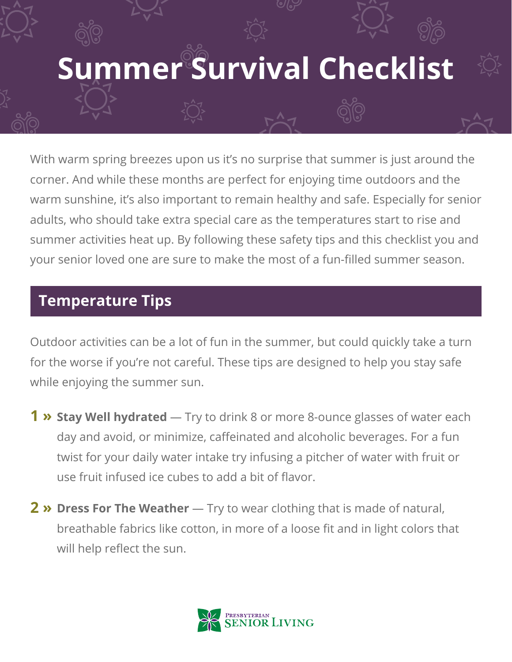# **Summer Survival Checklist**

With warm spring breezes upon us it's no surprise that summer is just around the corner. And while these months are perfect for enjoying time outdoors and the warm sunshine, it's also important to remain healthy and safe. Especially for senior adults, who should take extra special care as the temperatures start to rise and summer activities heat up. By following these safety tips and this checklist you and your senior loved one are sure to make the most of a fun-filled summer season.

### **Temperature Tips**

Outdoor activities can be a lot of fun in the summer, but could quickly take a turn for the worse if you're not careful. These tips are designed to help you stay safe while enjoying the summer sun.

- **Stay Well hydrated** Try to drink 8 or more 8-ounce glasses of water each **1 »** day and avoid, or minimize, caffeinated and alcoholic beverages. For a fun twist for your daily water intake try infusing a pitcher of water with fruit or use fruit infused ice cubes to add a bit of flavor.
- **Dress For The Weather** Try to wear clothing that is made of natural, **2 »**breathable fabrics like cotton, in more of a loose fit and in light colors that will help reflect the sun.

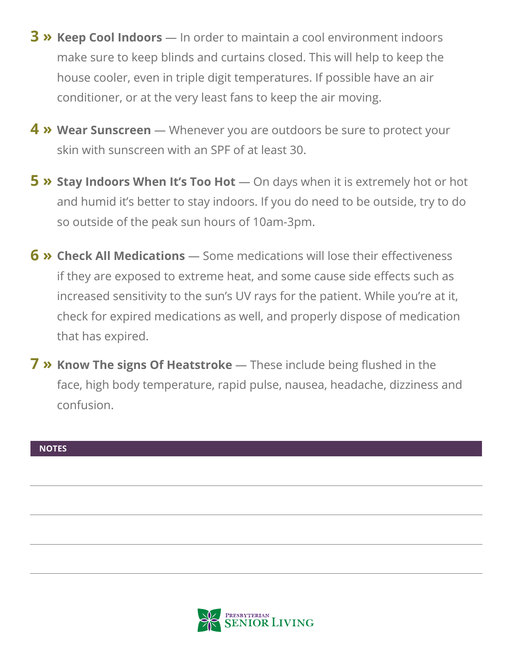- **Keep Cool Indoors**  In order to maintain a cool environment indoors **3 »** make sure to keep blinds and curtains closed. This will help to keep the house cooler, even in triple digit temperatures. If possible have an air conditioner, or at the very least fans to keep the air moving.
- **Wear Sunscreen** Whenever you are outdoors be sure to protect your **4 »** skin with sunscreen with an SPF of at least 30.
- **5** » Stay Indoors When It's Too Hot On days when it is extremely hot or hot and humid it's better to stay indoors. If you do need to be outside, try to do so outside of the peak sun hours of 10am-3pm.
- **Check All Medications**  Some medications will lose their effectiveness **6 »** if they are exposed to extreme heat, and some cause side effects such as increased sensitivity to the sun's UV rays for the patient. While you're at it, check for expired medications as well, and properly dispose of medication that has expired.
- **7** » Know The signs Of Heatstroke These include being flushed in the face, high body temperature, rapid pulse, nausea, headache, dizziness and confusion.

#### **NOTES**

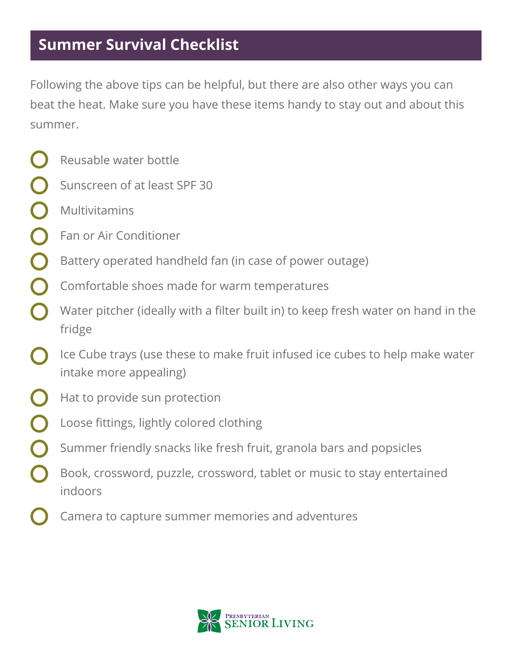## **Summer Survival Checklist**

Following the above tips can be helpful, but there are also other ways you can beat the heat. Make sure you have these items handy to stay out and about this summer.

- Reusable water bottle
- Sunscreen of at least SPF 30
- Multivitamins
- Fan or Air Conditioner
- Battery operated handheld fan (in case of power outage)
- Comfortable shoes made for warm temperatures
- Water pitcher (ideally with a filter built in) to keep fresh water on hand in the fridge
- Ice Cube trays (use these to make fruit infused ice cubes to help make water intake more appealing)
- Hat to provide sun protection
- Loose fittings, lightly colored clothing
- Summer friendly snacks like fresh fruit, granola bars and popsicles
- Book, crossword, puzzle, crossword, tablet or music to stay entertained indoors
- Camera to capture summer memories and adventures